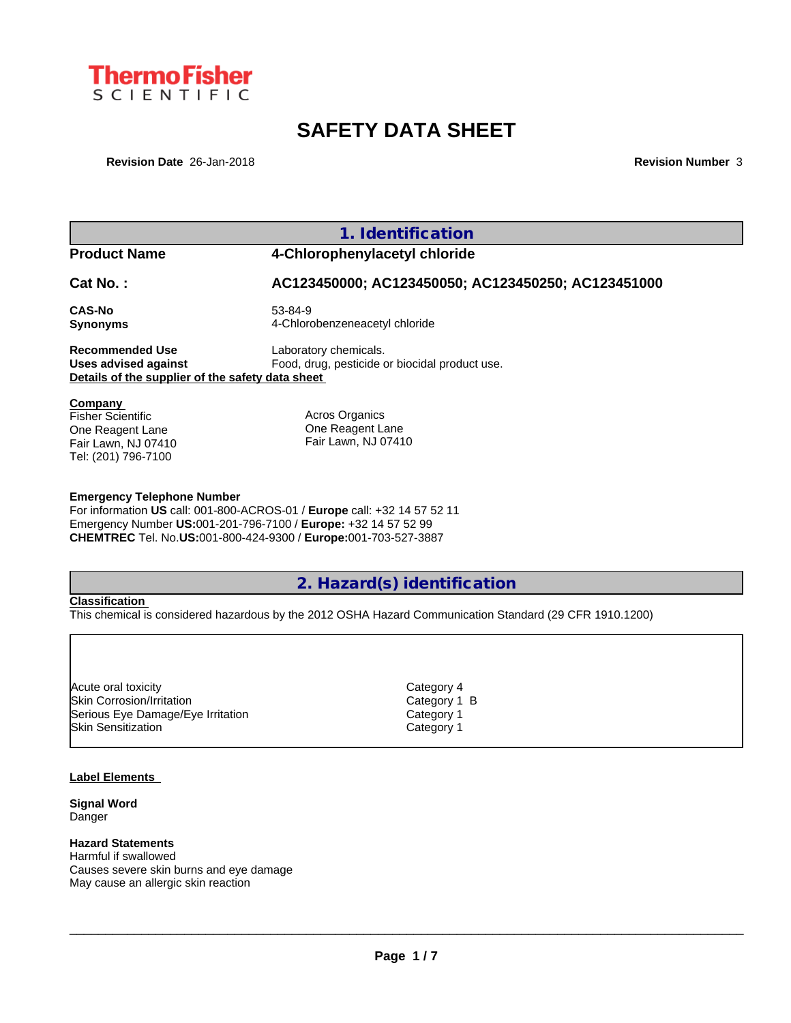

# **SAFETY DATA SHEET**

**Revision Date** 26-Jan-2018 **Revision Number** 3

| <b>Product Name</b><br>Cat No.:                                                                           | 4-Chlorophenylacetyl chloride                                                                                                                                                                                |
|-----------------------------------------------------------------------------------------------------------|--------------------------------------------------------------------------------------------------------------------------------------------------------------------------------------------------------------|
|                                                                                                           |                                                                                                                                                                                                              |
|                                                                                                           | AC123450000; AC123450050; AC123450250; AC123451000                                                                                                                                                           |
| <b>CAS-No</b><br><b>Synonyms</b>                                                                          | 53-84-9<br>4-Chlorobenzeneacetyl chloride                                                                                                                                                                    |
| <b>Recommended Use</b><br><b>Uses advised against</b><br>Details of the supplier of the safety data sheet | Laboratory chemicals.<br>Food, drug, pesticide or biocidal product use.                                                                                                                                      |
| Company<br><b>Fisher Scientific</b><br>One Reagent Lane<br>Fair Lawn, NJ 07410<br>Tel: (201) 796-7100     | Acros Organics<br>One Reagent Lane<br>Fair Lawn, NJ 07410                                                                                                                                                    |
| <b>Emergency Telephone Number</b>                                                                         | For information US call: 001-800-ACROS-01 / Europe call: +32 14 57 52 11<br>Emergency Number US:001-201-796-7100 / Europe: +32 14 57 52 99<br>CHEMTREC Tel. No.US:001-800-424-9300 / Europe:001-703-527-3887 |
|                                                                                                           | 2. Hazard(s) identification                                                                                                                                                                                  |
| <b>Classification</b>                                                                                     | This chemical is considered hazardous by the 2012 OSHA Hazard Communication Standard (29 CFR 1910.1200)                                                                                                      |

Acute oral toxicity and the control of the control of the Category 4 control of the control of the control of the control of the control of the control of the control of the control of the control of the control of the con Skin Corrosion/Irritation and Category 1 B Serious Eye Damage/Eye Irritation and Category 1 Skin Sensitization **Category 1** 

### **Label Elements**

**Signal Word** Danger

## **Hazard Statements**

Harmful if swallowed Causes severe skin burns and eye damage May cause an allergic skin reaction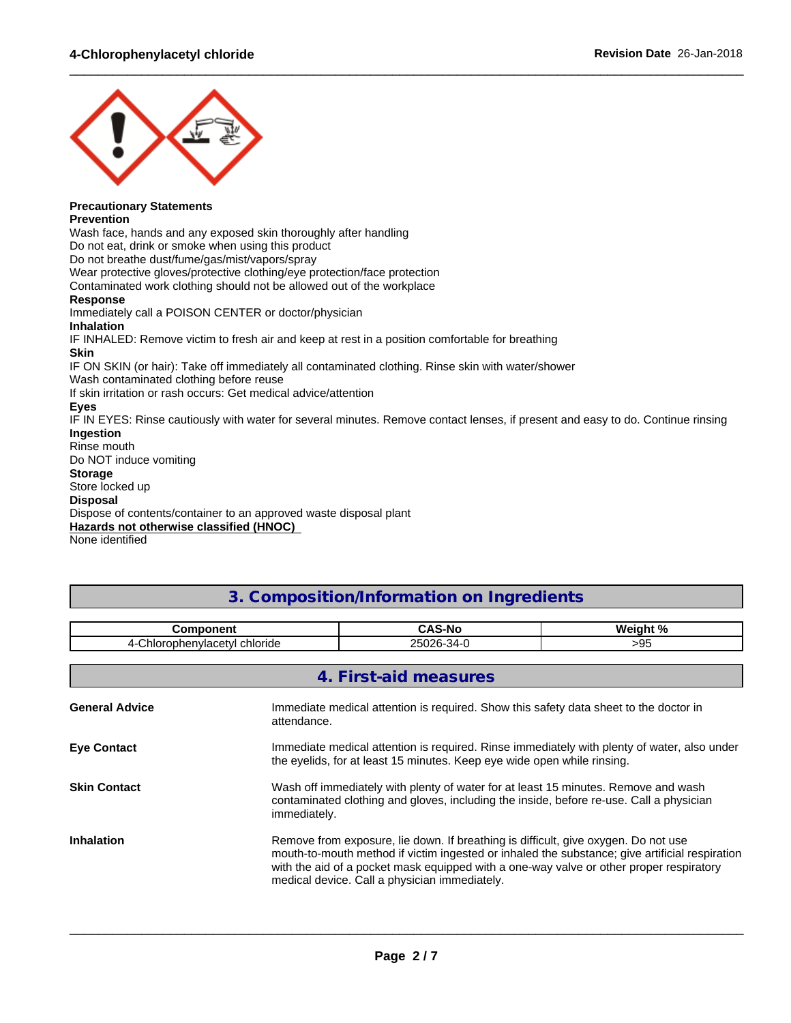

## **Precautionary Statements**

#### **Prevention**

Wash face, hands and any exposed skin thoroughly after handling

Do not eat, drink or smoke when using this product

Do not breathe dust/fume/gas/mist/vapors/spray

Wear protective gloves/protective clothing/eye protection/face protection

Contaminated work clothing should not be allowed out of the workplace

#### **Response**

Immediately call a POISON CENTER or doctor/physician **Inhalation** IF INHALED: Remove victim to fresh air and keep at rest in a position comfortable for breathing **Skin** IF ON SKIN (or hair): Take off immediately all contaminated clothing. Rinse skin with water/shower Wash contaminated clothing before reuse If skin irritation or rash occurs: Get medical advice/attention **Eyes** IF IN EYES: Rinse cautiously with water for several minutes. Remove contact lenses, if present and easy to do. Continue rinsing **Ingestion** Rinse mouth Do NOT induce vomiting **Storage** Store locked up **Disposal** Dispose of contents/container to an approved waste disposal plant

**Hazards not otherwise classified (HNOC)**

None identified

## **3. Composition/Information on Ingredients**

 $\_$  ,  $\_$  ,  $\_$  ,  $\_$  ,  $\_$  ,  $\_$  ,  $\_$  ,  $\_$  ,  $\_$  ,  $\_$  ,  $\_$  ,  $\_$  ,  $\_$  ,  $\_$  ,  $\_$  ,  $\_$  ,  $\_$  ,  $\_$  ,  $\_$  ,  $\_$  ,  $\_$  ,  $\_$  ,  $\_$  ,  $\_$  ,  $\_$  ,  $\_$  ,  $\_$  ,  $\_$  ,  $\_$  ,  $\_$  ,  $\_$  ,  $\_$  ,  $\_$  ,  $\_$  ,  $\_$  ,  $\_$  ,  $\_$  ,

| <b>Component</b>              |                                                                                                                                                                                                                                                                                                                                  | <b>CAS-No</b>                                                                                                                                                                 | Weight % |  |
|-------------------------------|----------------------------------------------------------------------------------------------------------------------------------------------------------------------------------------------------------------------------------------------------------------------------------------------------------------------------------|-------------------------------------------------------------------------------------------------------------------------------------------------------------------------------|----------|--|
| 4-Chlorophenylacetyl chloride |                                                                                                                                                                                                                                                                                                                                  | 25026-34-0                                                                                                                                                                    | >95      |  |
|                               |                                                                                                                                                                                                                                                                                                                                  | 4. First-aid measures                                                                                                                                                         |          |  |
| <b>General Advice</b>         | attendance.                                                                                                                                                                                                                                                                                                                      | Immediate medical attention is required. Show this safety data sheet to the doctor in                                                                                         |          |  |
| <b>Eye Contact</b>            |                                                                                                                                                                                                                                                                                                                                  | Immediate medical attention is required. Rinse immediately with plenty of water, also under<br>the eyelids, for at least 15 minutes. Keep eye wide open while rinsing.        |          |  |
| <b>Skin Contact</b>           | immediately.                                                                                                                                                                                                                                                                                                                     | Wash off immediately with plenty of water for at least 15 minutes. Remove and wash<br>contaminated clothing and gloves, including the inside, before re-use. Call a physician |          |  |
| <b>Inhalation</b>             | Remove from exposure, lie down. If breathing is difficult, give oxygen. Do not use<br>mouth-to-mouth method if victim ingested or inhaled the substance; give artificial respiration<br>with the aid of a pocket mask equipped with a one-way valve or other proper respiratory<br>medical device. Call a physician immediately. |                                                                                                                                                                               |          |  |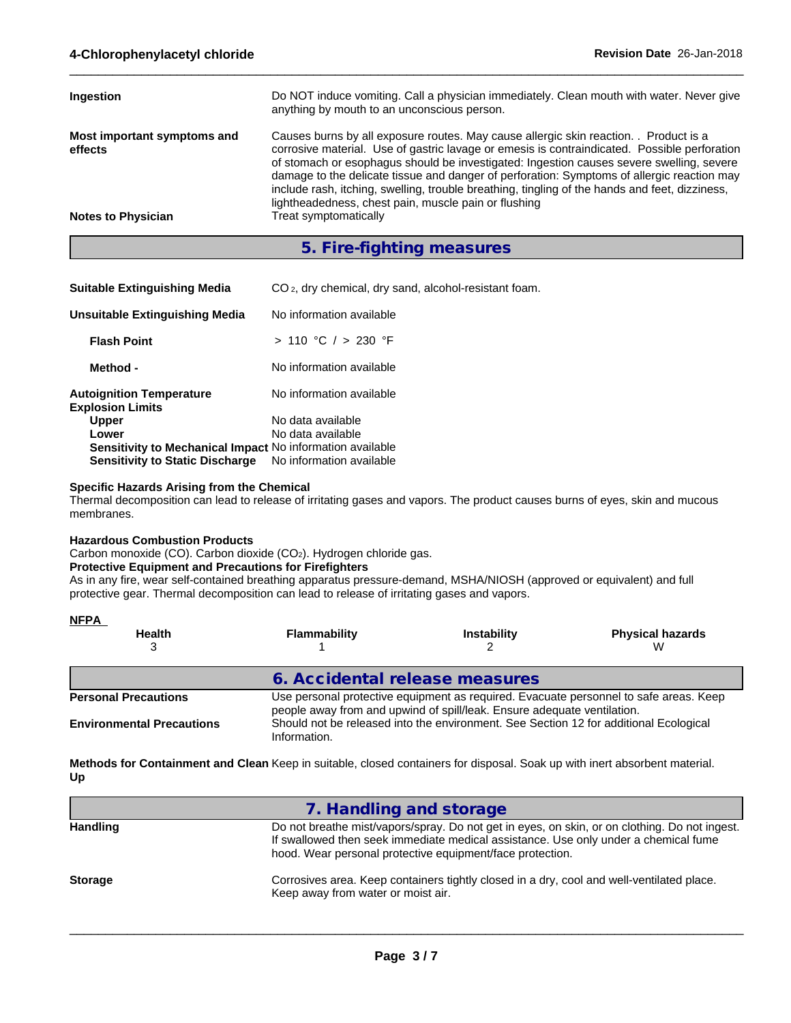| Ingestion                              | Do NOT induce vomiting. Call a physician immediately. Clean mouth with water. Never give<br>anything by mouth to an unconscious person.                                                                                                                                                                                                                                                                                                                                                                                                 |
|----------------------------------------|-----------------------------------------------------------------------------------------------------------------------------------------------------------------------------------------------------------------------------------------------------------------------------------------------------------------------------------------------------------------------------------------------------------------------------------------------------------------------------------------------------------------------------------------|
| Most important symptoms and<br>effects | Causes burns by all exposure routes. May cause allergic skin reaction. Product is a<br>corrosive material. Use of gastric lavage or emesis is contraindicated. Possible perforation<br>of stomach or esophagus should be investigated: Ingestion causes severe swelling, severe<br>damage to the delicate tissue and danger of perforation: Symptoms of allergic reaction may<br>include rash, itching, swelling, trouble breathing, tingling of the hands and feet, dizziness,<br>lightheadedness, chest pain, muscle pain or flushing |
| <b>Notes to Physician</b>              | Treat symptomatically                                                                                                                                                                                                                                                                                                                                                                                                                                                                                                                   |

 $\_$  ,  $\_$  ,  $\_$  ,  $\_$  ,  $\_$  ,  $\_$  ,  $\_$  ,  $\_$  ,  $\_$  ,  $\_$  ,  $\_$  ,  $\_$  ,  $\_$  ,  $\_$  ,  $\_$  ,  $\_$  ,  $\_$  ,  $\_$  ,  $\_$  ,  $\_$  ,  $\_$  ,  $\_$  ,  $\_$  ,  $\_$  ,  $\_$  ,  $\_$  ,  $\_$  ,  $\_$  ,  $\_$  ,  $\_$  ,  $\_$  ,  $\_$  ,  $\_$  ,  $\_$  ,  $\_$  ,  $\_$  ,  $\_$  ,

## **5. Fire-fighting measures**

| CO <sub>2</sub> , dry chemical, dry sand, alcohol-resistant foam. |
|-------------------------------------------------------------------|
| No information available                                          |
| > 110 °C / > 230 °F                                               |
| No information available                                          |
| No information available                                          |
| No data available                                                 |
| No data available                                                 |
| <b>Sensitivity to Mechanical Impact No information available</b>  |
| No information available                                          |
|                                                                   |

#### **Specific Hazards Arising from the Chemical**

Thermal decomposition can lead to release of irritating gases and vapors. The product causes burns of eyes, skin and mucous membranes.

#### **Hazardous Combustion Products**

Carbon monoxide (CO). Carbon dioxide (CO2). Hydrogen chloride gas.

## **Protective Equipment and Precautions for Firefighters**

As in any fire, wear self-contained breathing apparatus pressure-demand, MSHA/NIOSH (approved or equivalent) and full protective gear. Thermal decomposition can lead to release of irritating gases and vapors.

| <b>NFPA</b>                      |                                                                                                                                                                  |                    |                              |
|----------------------------------|------------------------------------------------------------------------------------------------------------------------------------------------------------------|--------------------|------------------------------|
| <b>Health</b>                    | <b>Flammability</b>                                                                                                                                              | <b>Instability</b> | <b>Physical hazards</b><br>W |
|                                  | 6. Accidental release measures                                                                                                                                   |                    |                              |
| <b>Personal Precautions</b>      | Use personal protective equipment as required. Evacuate personnel to safe areas. Keep<br>people away from and upwind of spill/leak. Ensure adequate ventilation. |                    |                              |
| <b>Environmental Precautions</b> | Should not be released into the environment. See Section 12 for additional Ecological<br>Information.                                                            |                    |                              |

**Methods for Containment and Clean Keep in suitable, closed containers for disposal. Soak up with inert absorbent material. Up**

| 7. Handling and storage                                                                                                                                                                                                                           |
|---------------------------------------------------------------------------------------------------------------------------------------------------------------------------------------------------------------------------------------------------|
| Do not breathe mist/vapors/spray. Do not get in eyes, on skin, or on clothing. Do not ingest.<br>If swallowed then seek immediate medical assistance. Use only under a chemical fume<br>hood. Wear personal protective equipment/face protection. |
| Corrosives area. Keep containers tightly closed in a dry, cool and well-ventilated place.<br>Keep away from water or moist air.                                                                                                                   |
|                                                                                                                                                                                                                                                   |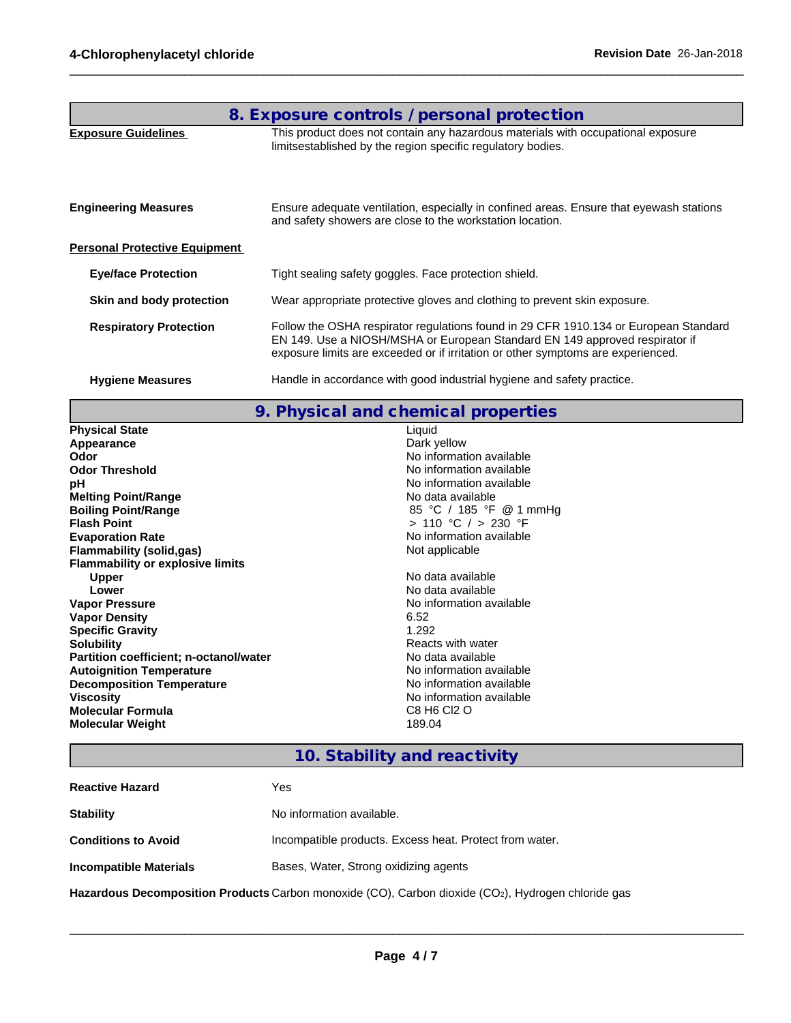|                                      | 8. Exposure controls / personal protection                                                                                                                                                                                                              |
|--------------------------------------|---------------------------------------------------------------------------------------------------------------------------------------------------------------------------------------------------------------------------------------------------------|
| <b>Exposure Guidelines</b>           | This product does not contain any hazardous materials with occupational exposure<br>limitsestablished by the region specific regulatory bodies.                                                                                                         |
| <b>Engineering Measures</b>          | Ensure adequate ventilation, especially in confined areas. Ensure that eyewash stations<br>and safety showers are close to the workstation location.                                                                                                    |
| <b>Personal Protective Equipment</b> |                                                                                                                                                                                                                                                         |
| <b>Eye/face Protection</b>           | Tight sealing safety goggles. Face protection shield.                                                                                                                                                                                                   |
| Skin and body protection             | Wear appropriate protective gloves and clothing to prevent skin exposure.                                                                                                                                                                               |
| <b>Respiratory Protection</b>        | Follow the OSHA respirator regulations found in 29 CFR 1910.134 or European Standard<br>EN 149. Use a NIOSH/MSHA or European Standard EN 149 approved respirator if<br>exposure limits are exceeded or if irritation or other symptoms are experienced. |
| <b>Hygiene Measures</b>              | Handle in accordance with good industrial hygiene and safety practice.                                                                                                                                                                                  |

 $\_$  ,  $\_$  ,  $\_$  ,  $\_$  ,  $\_$  ,  $\_$  ,  $\_$  ,  $\_$  ,  $\_$  ,  $\_$  ,  $\_$  ,  $\_$  ,  $\_$  ,  $\_$  ,  $\_$  ,  $\_$  ,  $\_$  ,  $\_$  ,  $\_$  ,  $\_$  ,  $\_$  ,  $\_$  ,  $\_$  ,  $\_$  ,  $\_$  ,  $\_$  ,  $\_$  ,  $\_$  ,  $\_$  ,  $\_$  ,  $\_$  ,  $\_$  ,  $\_$  ,  $\_$  ,  $\_$  ,  $\_$  ,  $\_$  ,

| 9. Physical and chemical properties           |                          |  |  |  |  |
|-----------------------------------------------|--------------------------|--|--|--|--|
| <b>Physical State</b>                         | Liquid                   |  |  |  |  |
| Appearance                                    | Dark yellow              |  |  |  |  |
| Odor                                          | No information available |  |  |  |  |
| <b>Odor Threshold</b>                         | No information available |  |  |  |  |
| pH                                            | No information available |  |  |  |  |
| <b>Melting Point/Range</b>                    | No data available        |  |  |  |  |
| <b>Boiling Point/Range</b>                    | 85 °C / 185 °F @ 1 mmHg  |  |  |  |  |
| <b>Flash Point</b>                            | $> 110$ °C $/ > 230$ °F  |  |  |  |  |
| <b>Evaporation Rate</b>                       | No information available |  |  |  |  |
| <b>Flammability (solid,gas)</b>               | Not applicable           |  |  |  |  |
| <b>Flammability or explosive limits</b>       |                          |  |  |  |  |
| <b>Upper</b>                                  | No data available        |  |  |  |  |
| Lower                                         | No data available        |  |  |  |  |
| <b>Vapor Pressure</b>                         | No information available |  |  |  |  |
| <b>Vapor Density</b>                          | 6.52                     |  |  |  |  |
| <b>Specific Gravity</b>                       | 1.292                    |  |  |  |  |
| <b>Solubility</b>                             | Reacts with water        |  |  |  |  |
| <b>Partition coefficient; n-octanol/water</b> | No data available        |  |  |  |  |
| <b>Autoignition Temperature</b>               | No information available |  |  |  |  |
| <b>Decomposition Temperature</b>              | No information available |  |  |  |  |
| <b>Viscosity</b>                              | No information available |  |  |  |  |
| <b>Molecular Formula</b>                      | C8 H6 Cl2 O              |  |  |  |  |
| <b>Molecular Weight</b>                       | 189.04                   |  |  |  |  |

# **10. Stability and reactivity**

| <b>Reactive Hazard</b>                                                                                          | Yes                                                     |  |  |
|-----------------------------------------------------------------------------------------------------------------|---------------------------------------------------------|--|--|
| <b>Stability</b>                                                                                                | No information available.                               |  |  |
| <b>Conditions to Avoid</b>                                                                                      | Incompatible products. Excess heat. Protect from water. |  |  |
| <b>Incompatible Materials</b><br>Bases, Water, Strong oxidizing agents                                          |                                                         |  |  |
| Hazardous Decomposition Products Carbon monoxide (CO), Carbon dioxide (CO <sub>2</sub> ), Hydrogen chloride gas |                                                         |  |  |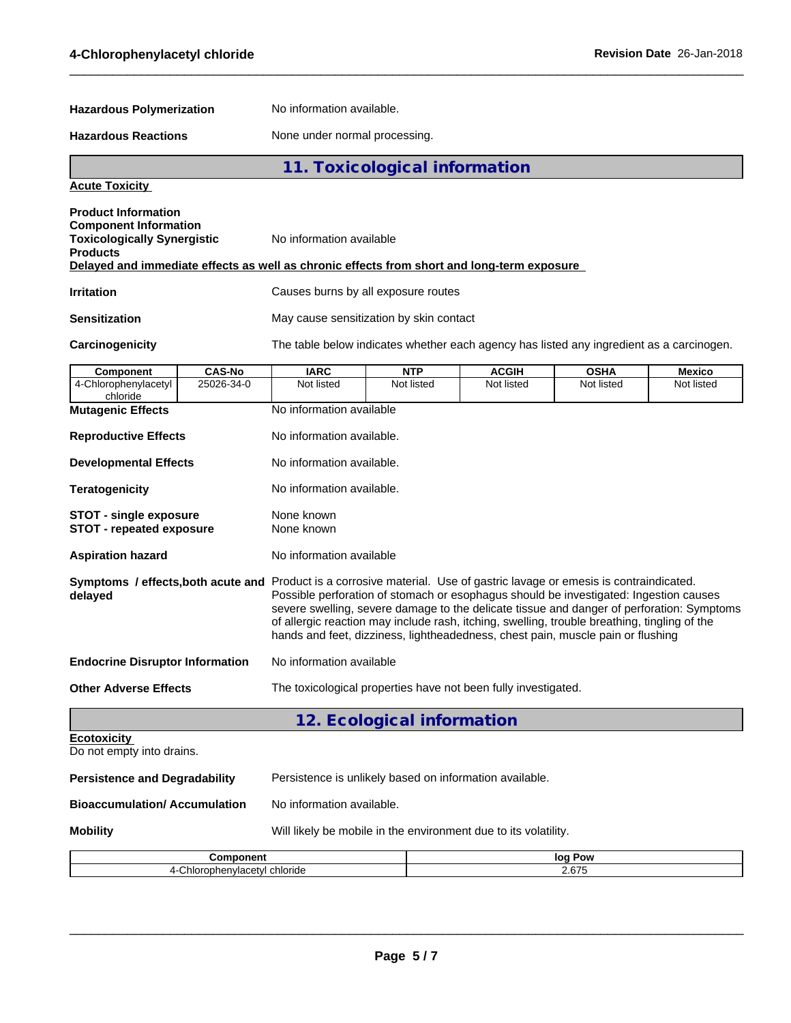| <b>Hazardous Polymerization</b>                                                                                     |                             | No information available.                                                                                                                                                                                                                                                                                                                                                                                                                                                                        |                            |                            |                                                                                          |                             |  |
|---------------------------------------------------------------------------------------------------------------------|-----------------------------|--------------------------------------------------------------------------------------------------------------------------------------------------------------------------------------------------------------------------------------------------------------------------------------------------------------------------------------------------------------------------------------------------------------------------------------------------------------------------------------------------|----------------------------|----------------------------|------------------------------------------------------------------------------------------|-----------------------------|--|
| <b>Hazardous Reactions</b>                                                                                          |                             | None under normal processing.                                                                                                                                                                                                                                                                                                                                                                                                                                                                    |                            |                            |                                                                                          |                             |  |
| 11. Toxicological information                                                                                       |                             |                                                                                                                                                                                                                                                                                                                                                                                                                                                                                                  |                            |                            |                                                                                          |                             |  |
| <b>Acute Toxicity</b>                                                                                               |                             |                                                                                                                                                                                                                                                                                                                                                                                                                                                                                                  |                            |                            |                                                                                          |                             |  |
| <b>Product Information</b><br><b>Component Information</b><br><b>Toxicologically Synergistic</b><br><b>Products</b> |                             | No information available<br>Delayed and immediate effects as well as chronic effects from short and long-term exposure                                                                                                                                                                                                                                                                                                                                                                           |                            |                            |                                                                                          |                             |  |
| <b>Irritation</b>                                                                                                   |                             | Causes burns by all exposure routes                                                                                                                                                                                                                                                                                                                                                                                                                                                              |                            |                            |                                                                                          |                             |  |
| <b>Sensitization</b>                                                                                                |                             | May cause sensitization by skin contact                                                                                                                                                                                                                                                                                                                                                                                                                                                          |                            |                            |                                                                                          |                             |  |
| Carcinogenicity                                                                                                     |                             |                                                                                                                                                                                                                                                                                                                                                                                                                                                                                                  |                            |                            | The table below indicates whether each agency has listed any ingredient as a carcinogen. |                             |  |
| <b>Component</b><br>4-Chlorophenylacetyl                                                                            | <b>CAS-No</b><br>25026-34-0 | <b>IARC</b><br>Not listed                                                                                                                                                                                                                                                                                                                                                                                                                                                                        | <b>NTP</b><br>Not listed   | <b>ACGIH</b><br>Not listed | <b>OSHA</b><br>Not listed                                                                | <b>Mexico</b><br>Not listed |  |
| chloride                                                                                                            |                             |                                                                                                                                                                                                                                                                                                                                                                                                                                                                                                  |                            |                            |                                                                                          |                             |  |
| <b>Mutagenic Effects</b>                                                                                            |                             |                                                                                                                                                                                                                                                                                                                                                                                                                                                                                                  | No information available   |                            |                                                                                          |                             |  |
| <b>Reproductive Effects</b>                                                                                         |                             | No information available.                                                                                                                                                                                                                                                                                                                                                                                                                                                                        |                            |                            |                                                                                          |                             |  |
| <b>Developmental Effects</b>                                                                                        |                             | No information available.                                                                                                                                                                                                                                                                                                                                                                                                                                                                        |                            |                            |                                                                                          |                             |  |
| <b>Teratogenicity</b>                                                                                               |                             | No information available.                                                                                                                                                                                                                                                                                                                                                                                                                                                                        |                            |                            |                                                                                          |                             |  |
| <b>STOT - single exposure</b><br><b>STOT - repeated exposure</b>                                                    |                             | None known<br>None known                                                                                                                                                                                                                                                                                                                                                                                                                                                                         |                            |                            |                                                                                          |                             |  |
| <b>Aspiration hazard</b>                                                                                            |                             | No information available                                                                                                                                                                                                                                                                                                                                                                                                                                                                         |                            |                            |                                                                                          |                             |  |
| delayed                                                                                                             |                             | Symptoms / effects, both acute and Product is a corrosive material. Use of gastric lavage or emesis is contraindicated.<br>Possible perforation of stomach or esophagus should be investigated: Ingestion causes<br>severe swelling, severe damage to the delicate tissue and danger of perforation: Symptoms<br>of allergic reaction may include rash, itching, swelling, trouble breathing, tingling of the<br>hands and feet, dizziness, lightheadedness, chest pain, muscle pain or flushing |                            |                            |                                                                                          |                             |  |
| <b>Endocrine Disruptor Information</b>                                                                              |                             | No information available                                                                                                                                                                                                                                                                                                                                                                                                                                                                         |                            |                            |                                                                                          |                             |  |
| <b>Other Adverse Effects</b>                                                                                        |                             | The toxicological properties have not been fully investigated.                                                                                                                                                                                                                                                                                                                                                                                                                                   |                            |                            |                                                                                          |                             |  |
|                                                                                                                     |                             |                                                                                                                                                                                                                                                                                                                                                                                                                                                                                                  | 12. Ecological information |                            |                                                                                          |                             |  |
| <b>Ecotoxicity</b><br>Do not empty into drains.                                                                     |                             |                                                                                                                                                                                                                                                                                                                                                                                                                                                                                                  |                            |                            |                                                                                          |                             |  |
| <b>Persistence and Degradability</b>                                                                                |                             | Persistence is unlikely based on information available.                                                                                                                                                                                                                                                                                                                                                                                                                                          |                            |                            |                                                                                          |                             |  |
| <b>Bioaccumulation/ Accumulation</b>                                                                                |                             | No information available.                                                                                                                                                                                                                                                                                                                                                                                                                                                                        |                            |                            |                                                                                          |                             |  |
| <b>Mobility</b>                                                                                                     |                             | Will likely be mobile in the environment due to its volatility.                                                                                                                                                                                                                                                                                                                                                                                                                                  |                            |                            |                                                                                          |                             |  |

 $\_$  ,  $\_$  ,  $\_$  ,  $\_$  ,  $\_$  ,  $\_$  ,  $\_$  ,  $\_$  ,  $\_$  ,  $\_$  ,  $\_$  ,  $\_$  ,  $\_$  ,  $\_$  ,  $\_$  ,  $\_$  ,  $\_$  ,  $\_$  ,  $\_$  ,  $\_$  ,  $\_$  ,  $\_$  ,  $\_$  ,  $\_$  ,  $\_$  ,  $\_$  ,  $\_$  ,  $\_$  ,  $\_$  ,  $\_$  ,  $\_$  ,  $\_$  ,  $\_$  ,  $\_$  ,  $\_$  ,  $\_$  ,  $\_$  ,

| $ -$<br>--             | lor<br>Pow<br>. . |
|------------------------|-------------------|
| -<br>ונזור<br>пає<br>. | $\sim$<br>---     |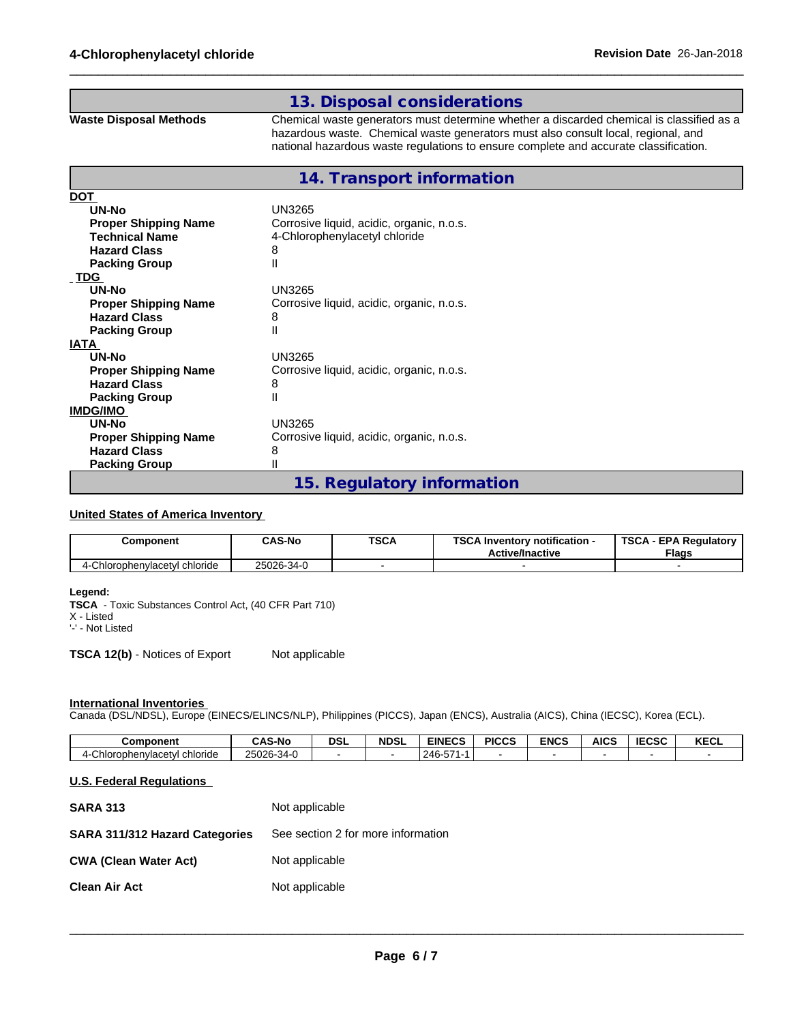## **13. Disposal considerations**

**Waste Disposal Methods** Chemical waste generators must determine whether a discarded chemical is classified as a hazardous waste. Chemical waste generators must also consult local, regional, and national hazardous waste regulations to ensure complete and accurate classification.

 $\_$  ,  $\_$  ,  $\_$  ,  $\_$  ,  $\_$  ,  $\_$  ,  $\_$  ,  $\_$  ,  $\_$  ,  $\_$  ,  $\_$  ,  $\_$  ,  $\_$  ,  $\_$  ,  $\_$  ,  $\_$  ,  $\_$  ,  $\_$  ,  $\_$  ,  $\_$  ,  $\_$  ,  $\_$  ,  $\_$  ,  $\_$  ,  $\_$  ,  $\_$  ,  $\_$  ,  $\_$  ,  $\_$  ,  $\_$  ,  $\_$  ,  $\_$  ,  $\_$  ,  $\_$  ,  $\_$  ,  $\_$  ,  $\_$  ,

## **14. Transport information**

| <b>DOT</b>                  |                                           |
|-----------------------------|-------------------------------------------|
| UN-No                       | <b>UN3265</b>                             |
| <b>Proper Shipping Name</b> | Corrosive liquid, acidic, organic, n.o.s. |
| <b>Technical Name</b>       | 4-Chlorophenylacetyl chloride             |
| <b>Hazard Class</b>         | 8                                         |
| <b>Packing Group</b>        | $\mathsf{II}$                             |
| <b>TDG</b>                  |                                           |
| UN-No                       | UN3265                                    |
| <b>Proper Shipping Name</b> | Corrosive liquid, acidic, organic, n.o.s. |
| <b>Hazard Class</b>         | 8                                         |
| <b>Packing Group</b>        | $\mathsf{II}$                             |
| <b>IATA</b>                 |                                           |
| UN-No                       | UN3265                                    |
| <b>Proper Shipping Name</b> | Corrosive liquid, acidic, organic, n.o.s. |
| <b>Hazard Class</b>         | 8                                         |
| <b>Packing Group</b>        | $\mathsf{II}$                             |
| <b>IMDG/IMO</b>             |                                           |
| UN-No                       | UN3265                                    |
| <b>Proper Shipping Name</b> | Corrosive liquid, acidic, organic, n.o.s. |
| <b>Hazard Class</b>         | 8                                         |
| <b>Packing Group</b>        | $\mathsf{II}$                             |
|                             | 15. Regulatory information                |

#### **United States of America Inventory**

| Component                                       | <b>CAS-No</b> | <b>TSCA</b> | TOO AL<br>Inventory notification -<br>56.P<br><b>Active/Inactive</b> | <b>TSCA</b><br><b>EPA Regulatory</b><br><b>Flags</b> |
|-------------------------------------------------|---------------|-------------|----------------------------------------------------------------------|------------------------------------------------------|
| $\bigcap_{i=1}$<br>-Chlorophenylacetyl chloride | 25026-34-0    |             |                                                                      |                                                      |

### **Legend:**

**TSCA** - Toxic Substances Control Act, (40 CFR Part 710)

X - Listed

'-' - Not Listed

**TSCA 12(b)** - Notices of Export Not applicable

#### **International Inventories**

Canada (DSL/NDSL), Europe (EINECS/ELINCS/NLP), Philippines (PICCS), Japan (ENCS), Australia (AICS), China (IECSC), Korea (ECL).

| Component                      | ີ AS-No                      | <b>DSL</b> | <b>NDSL</b> | <b>EINECS</b>                            | <b>PICCS</b> | <b>ENCS</b> | <b>AICS</b> | IFABA<br>טסט: | <b>KECL</b> |
|--------------------------------|------------------------------|------------|-------------|------------------------------------------|--------------|-------------|-------------|---------------|-------------|
| chloride<br>Chlorophenvlacet∨l | OFOOR 24 C<br>∠5026<br>-34-U |            |             | $- -$<br>$\sim$ $\sim$<br>ノハト<br>∼.<br>∼ |              |             |             |               |             |

## **U.S. Federal Regulations**

| <b>SARA 313</b>                       | Not applicable                     |
|---------------------------------------|------------------------------------|
| <b>SARA 311/312 Hazard Categories</b> | See section 2 for more information |
| <b>CWA (Clean Water Act)</b>          | Not applicable                     |
| <b>Clean Air Act</b>                  | Not applicable                     |